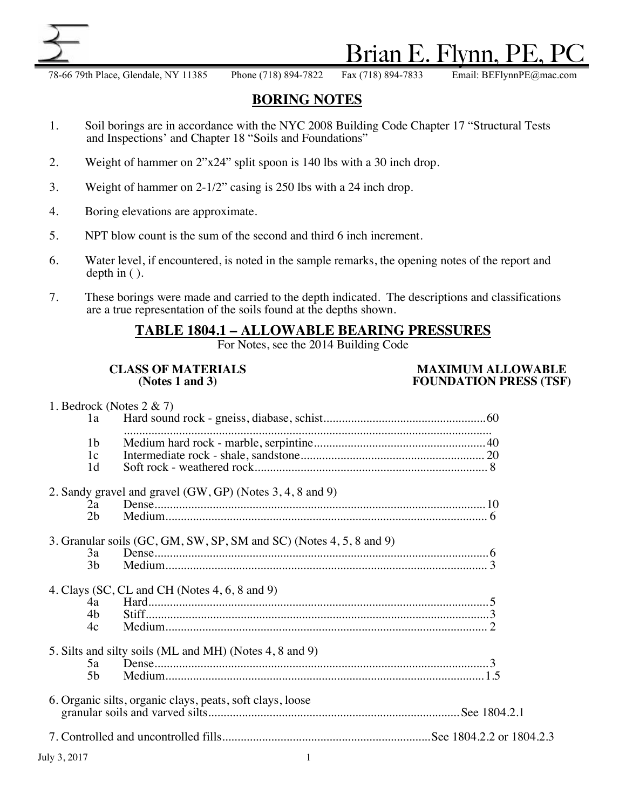

# Brian E. Flynn,

78-66 79th Place, Glendale, NY 11385 Phone (718) 894-7822 Fax (718) 894-7833 Email: BEFlynnPE@mac.com

# **BORING NOTES**

- 1. Soil borings are in accordance with the NYC 2008 Building Code Chapter 17 "Structural Tests and Inspections' and Chapter 18 "Soils and Foundations"
- 2. Weight of hammer on 2"x24" split spoon is 140 lbs with a 30 inch drop.
- 3. Weight of hammer on 2-1/2" casing is 250 lbs with a 24 inch drop.
- 4. Boring elevations are approximate.
- 5. NPT blow count is the sum of the second and third 6 inch increment.
- 6. Water level, if encountered, is noted in the sample remarks, the opening notes of the report and depth in ( ).
- 7. These borings were made and carried to the depth indicated. The descriptions and classifications are a true representation of the soils found at the depths shown.

# **TABLE 1804.1 – ALLOWABLE BEARING PRESSURES**

For Notes, see the 2014 Building Code

### **CLASS OF MATERIALS**<br> **MAXIMUM ALLOWABLE**<br> **MAXIMUM ALLOWABLE**<br> **MAXIMUM ALLOWABLE**<br> **FOUNDATION PRESS** (TSF) **(Notes 1 and 3) FOUNDATION PRESS (TSF)**

| 1. Bedrock (Notes $2 \& 7$ )<br>1a |                                                                     |  |
|------------------------------------|---------------------------------------------------------------------|--|
| 1b<br>1c<br>1 <sub>d</sub>         |                                                                     |  |
| 2a<br>2b                           | 2. Sandy gravel and gravel (GW, GP) (Notes 3, 4, 8 and 9)           |  |
| 3a<br>3 <sub>b</sub>               | 3. Granular soils (GC, GM, SW, SP, SM and SC) (Notes 4, 5, 8 and 9) |  |
| 4a<br>4b<br>4c                     | 4. Clays (SC, CL and CH (Notes 4, 6, 8 and 9)                       |  |
| 5a<br>5 <sub>b</sub>               | 5. Silts and silty soils (ML and MH) (Notes 4, 8 and 9)             |  |
|                                    | 6. Organic silts, organic clays, peats, soft clays, loose           |  |
|                                    |                                                                     |  |